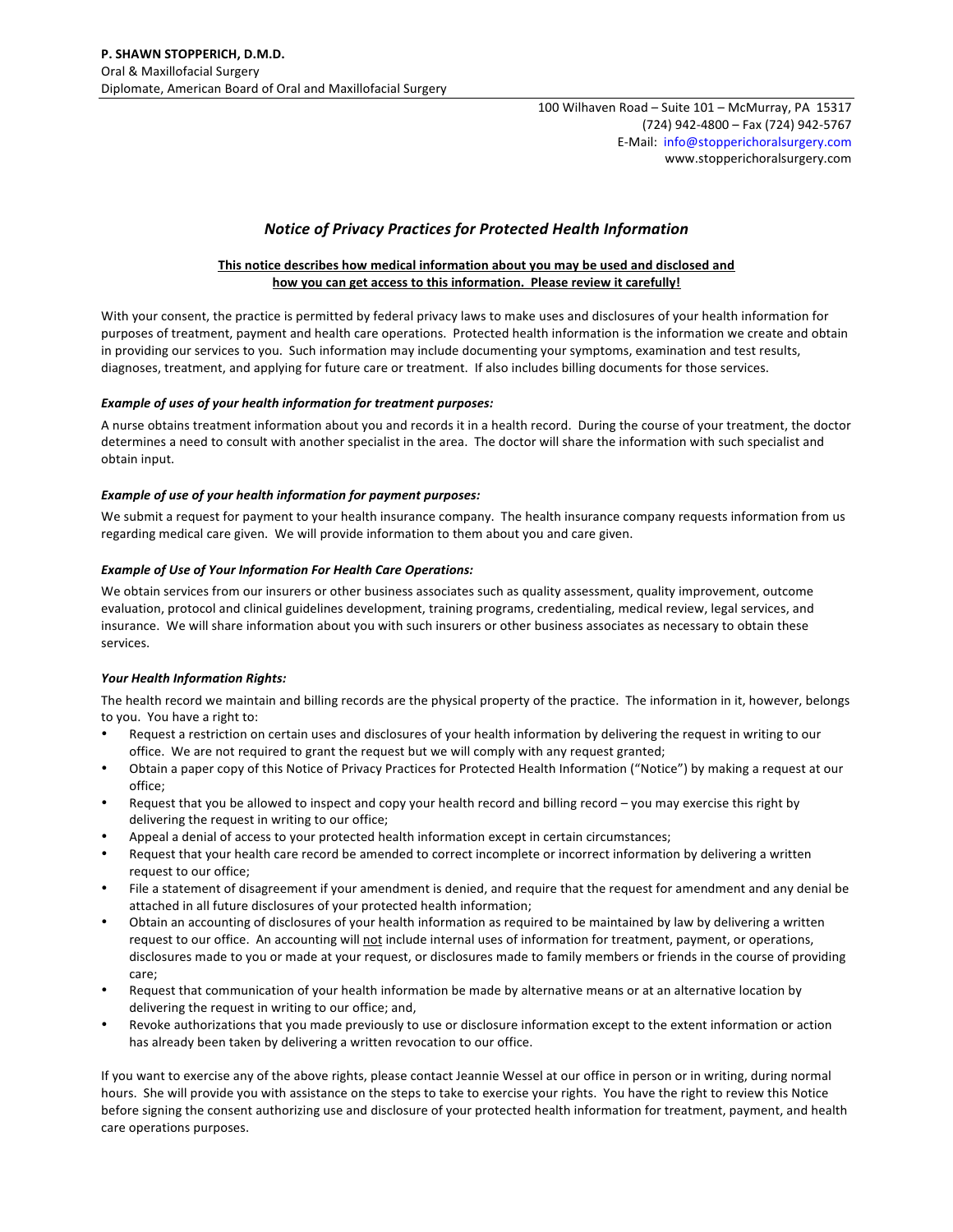100 Wilhaven Road - Suite 101 - McMurray, PA 15317 (724) 942-4800 - Fax (724) 942-5767 E-Mail: info@stopperichoralsurgery.com www.stopperichoralsurgery.com

# *Notice of Privacy Practices for Protected Health Information*

### This notice describes how medical information about you may be used and disclosed and how you can get access to this information. Please review it carefully!

With your consent, the practice is permitted by federal privacy laws to make uses and disclosures of your health information for purposes of treatment, payment and health care operations. Protected health information is the information we create and obtain in providing our services to you. Such information may include documenting your symptoms, examination and test results, diagnoses, treatment, and applying for future care or treatment. If also includes billing documents for those services.

#### **Example of uses of your health information for treatment purposes:**

A nurse obtains treatment information about you and records it in a health record. During the course of your treatment, the doctor determines a need to consult with another specialist in the area. The doctor will share the information with such specialist and obtain input.

#### **Example of use of your health information for payment purposes:**

We submit a request for payment to your health insurance company. The health insurance company requests information from us regarding medical care given. We will provide information to them about you and care given.

#### **Example of Use of Your Information For Health Care Operations:**

We obtain services from our insurers or other business associates such as quality assessment, quality improvement, outcome evaluation, protocol and clinical guidelines development, training programs, credentialing, medical review, legal services, and insurance. We will share information about you with such insurers or other business associates as necessary to obtain these services.

#### *Your Health Information Rights:*

The health record we maintain and billing records are the physical property of the practice. The information in it, however, belongs to you. You have a right to:

- Request a restriction on certain uses and disclosures of your health information by delivering the request in writing to our office. We are not required to grant the request but we will comply with any request granted;
- Obtain a paper copy of this Notice of Privacy Practices for Protected Health Information ("Notice") by making a request at our office;
- Request that you be allowed to inspect and copy your health record and billing record you may exercise this right by delivering the request in writing to our office;
- Appeal a denial of access to your protected health information except in certain circumstances;
- Request that your health care record be amended to correct incomplete or incorrect information by delivering a written request to our office;
- File a statement of disagreement if your amendment is denied, and require that the request for amendment and any denial be attached in all future disclosures of your protected health information;
- Obtain an accounting of disclosures of your health information as required to be maintained by law by delivering a written request to our office. An accounting will not include internal uses of information for treatment, payment, or operations, disclosures made to you or made at your request, or disclosures made to family members or friends in the course of providing care;
- Request that communication of your health information be made by alternative means or at an alternative location by delivering the request in writing to our office; and,
- Revoke authorizations that you made previously to use or disclosure information except to the extent information or action has already been taken by delivering a written revocation to our office.

If you want to exercise any of the above rights, please contact Jeannie Wessel at our office in person or in writing, during normal hours. She will provide you with assistance on the steps to take to exercise your rights. You have the right to review this Notice before signing the consent authorizing use and disclosure of your protected health information for treatment, payment, and health care operations purposes.